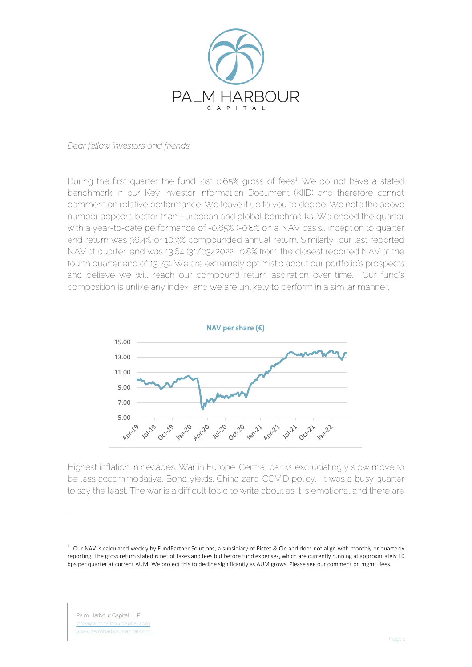

*Dear fellow investors and friends,*

During the first quarter the fund lost 0.65% gross of fees<sup>1</sup>. We do not have a stated benchmark in our Key Investor Information Document (KIID) and therefore cannot comment on relative performance. We leave it up to you to decide. We note the above number appears better than European and global benchmarks. We ended the quarter with a year-to-date performance of -0.65% (-0.8% on a NAV basis). Inception to quarter end return was 36.4% or 10.9% compounded annual return. Similarly, our last reported NAV at quarter-end was 13.64 (31/03/2022 -0.8% from the closest reported NAV at the fourth quarter end of 13.75). We are extremely optimistic about our portfolio's prospects and believe we will reach our compound return aspiration over time. Our fund's composition is unlike any index, and we are unlikely to perform in a similar manner.



Highest inflation in decades. War in Europe. Central banks excruciatingly slow move to be less accommodative. Bond yields. China zero-COVID policy. It was a busy quarter to say the least. The war is a difficult topic to write about as it is emotional and there are

 $1$  Our NAV is calculated weekly by FundPartner Solutions, a subsidiary of Pictet & Cie and does not align with monthly or quarterly reporting. The gross return stated is net of taxes and fees but before fund expenses, which are currently running at approximately 10 bps per quarter at current AUM. We project this to decline significantly as AUM grows. Please see our comment on mgmt. fees.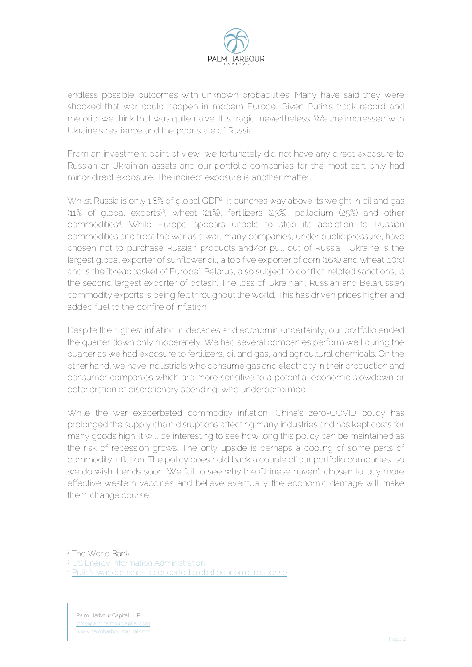

endless possible outcomes with unknown probabilities. Many have said they were shocked that war could happen in modern Europe. Given Putin's track record and rhetoric, we think that was quite naive. It is tragic, nevertheless. We are impressed with Ukraine's resilience and the poor state of Russia.

From an investment point of view, we fortunately did not have any direct exposure to Russian or Ukrainian assets and our portfolio companies for the most part only had minor direct exposure. The indirect exposure is another matter.

Whilst Russia is only 1.8% of global GDP<sup>2</sup>, it punches way above its weight in oil and gas (11% of global exports)<sup>3</sup> , wheat (21%), fertilizers (23%), palladium (25%) and other commodities<sup>4</sup> . While Europe appears unable to stop its addiction to Russian commodities and treat the war as a war, many companies, under public pressure, have chosen not to purchase Russian products and/or pull out of Russia. Ukraine is the largest global exporter of sunflower oil, a top five exporter of corn (16%) and wheat (10%) and is the "breadbasket of Europe". Belarus, also subject to conflict-related sanctions, is the second largest exporter of potash. The loss of Ukrainian, Russian and Belarussian commodity exports is being felt throughout the world. This has driven prices higher and added fuel to the bonfire of inflation.

Despite the highest inflation in decades and economic uncertainty, our portfolio ended the quarter down only moderately. We had several companies perform well during the quarter as we had exposure to fertilizers, oil and gas, and agricultural chemicals. On the other hand, we have industrials who consume gas and electricity in their production and consumer companies which are more sensitive to a potential economic slowdown or deterioration of discretionary spending, who underperformed.

While the war exacerbated commodity inflation, China's zero-COVID policy has prolonged the supply chain disruptions affecting many industries and has kept costs for many goods high. It will be interesting to see how long this policy can be maintained as the risk of recession grows. The only upside is perhaps a cooling of some parts of commodity inflation. The policy does hold back a couple of our portfolio companies, so we do wish it ends soon. We fail to see why the Chinese haven't chosen to buy more effective western vaccines and believe eventually the economic damage will make them change course.

<sup>2</sup> The World Bank

<sup>&</sup>lt;sup>3</sup> [US Energy Information Administration](https://www.eia.gov/tools/faqs/faq.php?id=709&t=6)

<sup>4</sup> [Putin's war demands a concerted global economic resp](https://www.ft.com/content/fc9e7fd7-0476-4e37-a135-538aeecbe5b2?emailId=623aac2c48a1c700231900ed&segmentId=22011ee7-896a-8c4c-22a0-7603348b7f22)onse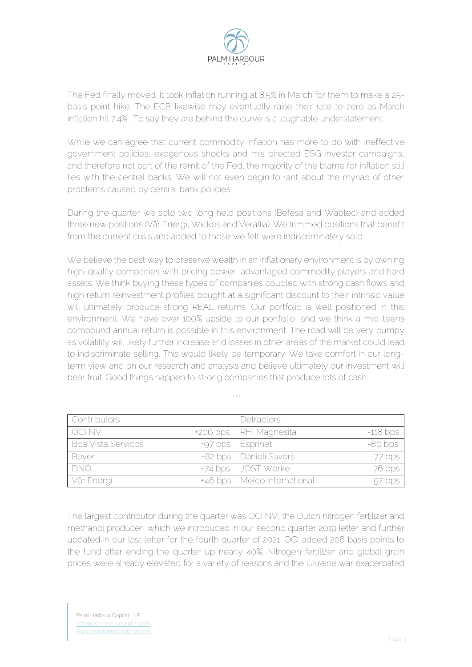

The Fed finally moved. It took inflation running at 8.5% in March for them to make a 25 basis point hike. The ECB likewise may eventually raise their rate to zero as March inflation hit 7.4%. To say they are behind the curve is a laughable understatement.

While we can agree that current commodity inflation has more to do with ineffective government policies, exogenous shocks and mis-directed ESG investor campaigns, and therefore not part of the remit of the Fed, the majority of the blame for inflation still lies with the central banks. We will not even begin to rant about the myriad of other problems caused by central bank policies.

During the quarter we sold two long held positions (Befesa and Wabtec) and added three new positions (Vår Energi, Wickes and Verallia). We trimmed positions that benefit from the current crisis and added to those we felt were indiscriminately sold.

We believe the best way to preserve wealth in an inflationary environment is by owning high-quality companies with pricing power, advantaged commodity players and hard assets. We think buying these types of companies coupled with strong cash flows and high return reinvestment profiles bought at a significant discount to their intrinsic value will ultimately produce strong REAL returns. Our portfolio is well positioned in this environment. We have over 100% upside to our portfolio, and we think a mid-teens compound annual return is possible in this environment. The road will be very bumpy as volatility will likely further increase and losses in other areas of the market could lead to indiscriminate selling. This would likely be temporary. We take comfort in our longterm view and on our research and analysis and believe ultimately our investment will bear fruit. Good things happen to strong companies that produce lots of cash.

| <b>Contributors</b> | Detractors                    |            |
|---------------------|-------------------------------|------------|
| OCI NV              | +206 bps   RHI Magnesita      | $-118$ bps |
| Boa Vista Servicos  | +97 bps   Esprinet            | $-80$ bps  |
| Bayer               | +82 bps   Danieli Savers      | $-77$ bps  |
| <b>DNO</b>          | +74 bps   JOST Werke          | $-76$ bps  |
| Vår Energi          | +46 bps   Melco International | $-57$ bps  |

*\*\*\**

The largest contributor during the quarter was OCI NV, the Dutch nitrogen fertilizer and methanol producer, which we introduced in our second quarter 2019 letter and further updated in our last letter for the fourth quarter of 2021. OCI added 206 basis points to the fund after ending the quarter up nearly 40%. Nitrogen fertilizer and global grain prices were already elevated for a variety of reasons and the Ukraine war exacerbated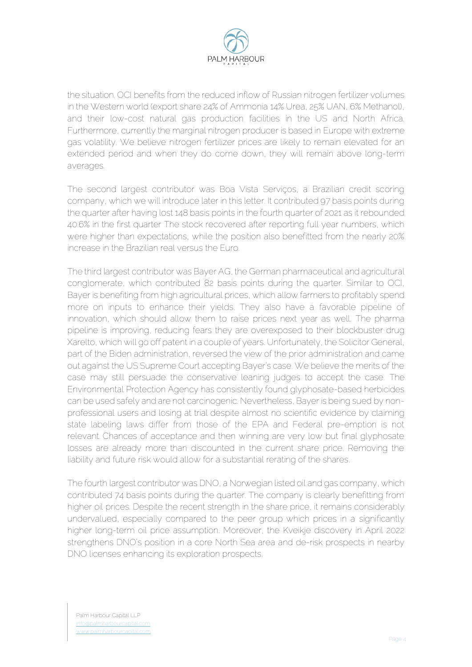

the situation. OCI benefits from the reduced inflow of Russian nitrogen fertilizer volumes in the Western world (export share 24% of Ammonia 14% Urea, 25% UAN, 6% Methanol), and their low-cost natural gas production facilities in the US and North Africa. Furthermore, currently the marginal nitrogen producer is based in Europe with extreme gas volatility. We believe nitrogen fertilizer prices are likely to remain elevated for an extended period and when they do come down, they will remain above long-term averages.

The second largest contributor was Boa Vista Serviços, a Brazilian credit scoring company, which we will introduce later in this letter. It contributed 97 basis points during the quarter after having lost 148 basis points in the fourth quarter of 2021 as it rebounded 40.6% in the first quarter The stock recovered after reporting full year numbers, which were higher than expectations, while the position also benefitted from the nearly 20% increase in the Brazilian real versus the Euro.

The third largest contributor was Bayer AG, the German pharmaceutical and agricultural conglomerate, which contributed 82 basis points during the quarter. Similar to OCI, Bayer is benefiting from high agricultural prices, which allow farmers to profitably spend more on inputs to enhance their yields. They also have a favorable pipeline of innovation, which should allow them to raise prices next year as well. The pharma pipeline is improving, reducing fears they are overexposed to their blockbuster drug Xarelto, which will go off patent in a couple of years. Unfortunately, the Solicitor General, part of the Biden administration, reversed the view of the prior administration and came out against the US Supreme Court accepting Bayer's case. We believe the merits of the case may still persuade the conservative leaning judges to accept the case. The Environmental Protection Agency has consistently found glyphosate-based herbicides can be used safely and are not carcinogenic. Nevertheless, Bayer is being sued by nonprofessional users and losing at trial despite almost no scientific evidence by claiming state labeling laws differ from those of the EPA and Federal pre-emption is not relevant. Chances of acceptance and then winning are very low but final glyphosate losses are already more than discounted in the current share price. Removing the liability and future risk would allow for a substantial rerating of the shares.

The fourth largest contributor was DNO, a Norwegian listed oil and gas company, which contributed 74 basis points during the quarter. The company is clearly benefitting from higher oil prices. Despite the recent strength in the share price, it remains considerably undervalued, especially compared to the peer group which prices in a significantly higher long-term oil price assumption. Moreover, the Kveikje discovery in April 2022 strengthens DNO's position in a core North Sea area and de-risk prospects in nearby DNO licenses enhancing its exploration prospects.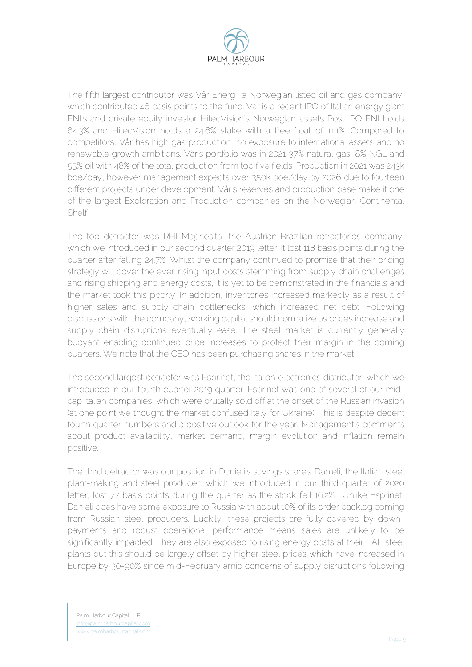

The fifth largest contributor was Vår Energi, a Norwegian listed oil and gas company, which contributed 46 basis points to the fund. Vår is a recent IPO of Italian energy giant ENI's and private equity investor HitecVision's Norwegian assets Post IPO ENI holds 64.3% and HitecVision holds a 24.6% stake with a free float of 11.1%. Compared to competitors, Vår has high gas production, no exposure to international assets and no renewable growth ambitions. Vår's portfolio was in 2021 37% natural gas, 8% NGL and 55% oil with 48% of the total production from top five fields. Production in 2021 was 243k boe/day, however management expects over 350k boe/day by 2026 due to fourteen different projects under development. Vår's reserves and production base make it one of the largest Exploration and Production companies on the Norwegian Continental Shelf.

The top detractor was RHI Magnesita, the Austrian-Brazilian refractories company, which we introduced in our second quarter 2019 letter. It lost 118 basis points during the quarter after falling 24.7%. Whilst the company continued to promise that their pricing strategy will cover the ever-rising input costs stemming from supply chain challenges and rising shipping and energy costs, it is yet to be demonstrated in the financials and the market took this poorly. In addition, inventories increased markedly as a result of higher sales and supply chain bottlenecks, which increased net debt. Following discussions with the company, working capital should normalize as prices increase and supply chain disruptions eventually ease. The steel market is currently generally buoyant enabling continued price increases to protect their margin in the coming quarters. We note that the CEO has been purchasing shares in the market.

The second largest detractor was Esprinet, the Italian electronics distributor, which we introduced in our fourth quarter 2019 quarter. Esprinet was one of several of our midcap Italian companies, which were brutally sold off at the onset of the Russian invasion (at one point we thought the market confused Italy for Ukraine). This is despite decent fourth quarter numbers and a positive outlook for the year. Management's comments about product availability, market demand, margin evolution and inflation remain positive.

The third detractor was our position in Danieli's savings shares. Danieli, the Italian steel plant-making and steel producer, which we introduced in our third quarter of 2020 letter, lost 77 basis points during the quarter as the stock fell 16.2%. Unlike Esprinet, Danieli does have some exposure to Russia with about 10% of its order backlog coming from Russian steel producers. Luckily, these projects are fully covered by downpayments and robust operational performance means sales are unlikely to be significantly impacted. They are also exposed to rising energy costs at their EAF steel plants but this should be largely offset by higher steel prices which have increased in Europe by 30-90% since mid-February amid concerns of supply disruptions following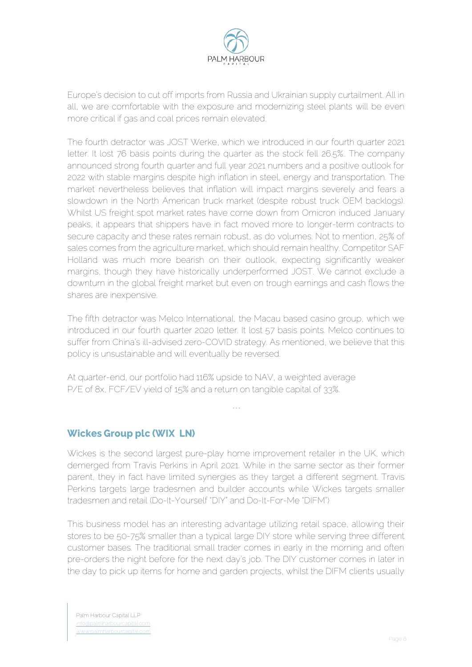

Europe's decision to cut off imports from Russia and Ukrainian supply curtailment. All in all, we are comfortable with the exposure and modernizing steel plants will be even more critical if gas and coal prices remain elevated.

The fourth detractor was JOST Werke, which we introduced in our fourth quarter 2021 letter. It lost 76 basis points during the quarter as the stock fell 26.5%.. The company announced strong fourth quarter and full year 2021 numbers and a positive outlook for 2022 with stable margins despite high inflation in steel, energy and transportation. The market nevertheless believes that inflation will impact margins severely and fears a slowdown in the North American truck market (despite robust truck OEM backlogs). Whilst US freight spot market rates have come down from Omicron induced January peaks, it appears that shippers have in fact moved more to longer-term contracts to secure capacity and these rates remain robust, as do volumes. Not to mention, 25% of sales comes from the agriculture market, which should remain healthy. Competitor SAF Holland was much more bearish on their outlook, expecting significantly weaker margins, though they have historically underperformed JOST. We cannot exclude a downturn in the global freight market but even on trough earnings and cash flows the shares are inexpensive.

The fifth detractor was Melco International, the Macau based casino group, which we introduced in our fourth quarter 2020 letter. It lost 57 basis points. Melco continues to suffer from China's ill-advised zero-COVID strategy. As mentioned, we believe that this policy is unsustainable and will eventually be reversed.

At quarter-end, our portfolio had 116% upside to NAV, a weighted average P/E of 8x, FCF/EV yield of 15% and a return on tangible capital of 33%.

## **Wickes Group plc (WIX LN)**

Wickes is the second largest pure-play home improvement retailer in the UK, which demerged from Travis Perkins in April 2021. While in the same sector as their former parent, they in fact have limited synergies as they target a different segment. Travis Perkins targets large tradesmen and builder accounts while Wickes targets smaller tradesmen and retail (Do-It-Yourself "DIY" and Do-It-For-Me "DIFM")

*\*\*\**

This business model has an interesting advantage utilizing retail space, allowing their stores to be 50-75% smaller than a typical large DIY store while serving three different customer bases. The traditional small trader comes in early in the morning and often pre-orders the night before for the next day's job. The DIY customer comes in later in the day to pick up items for home and garden projects, whilst the DIFM clients usually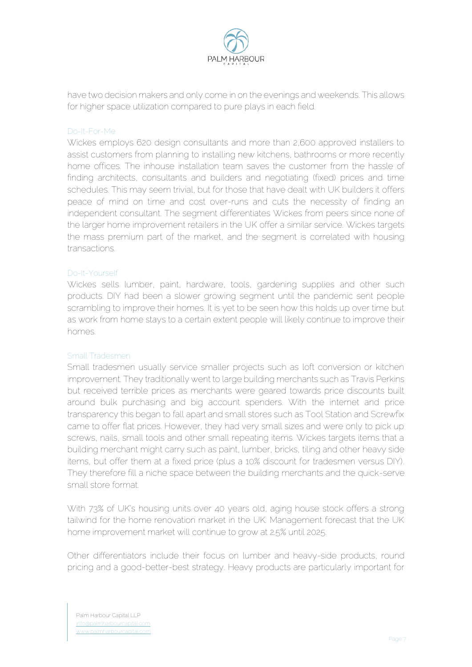

have two decision makers and only come in on the evenings and weekends. This allows for higher space utilization compared to pure plays in each field.

### Do-It-For-Me

Wickes employs 620 design consultants and more than 2,600 approved installers to assist customers from planning to installing new kitchens, bathrooms or more recently home offices. The inhouse installation team saves the customer from the hassle of finding architects, consultants and builders and negotiating (fixed) prices and time schedules. This may seem trivial, but for those that have dealt with UK builders it offers peace of mind on time and cost over-runs and cuts the necessity of finding an independent consultant. The segment differentiates Wickes from peers since none of the larger home improvement retailers in the UK offer a similar service. Wickes targets the mass premium part of the market, and the segment is correlated with housing transactions.

#### Do-It-Yourself

Wickes sells lumber, paint, hardware, tools, gardening supplies and other such products. DIY had been a slower growing segment until the pandemic sent people scrambling to improve their homes. It is yet to be seen how this holds up over time but as work from home stays to a certain extent people will likely continue to improve their homes.

#### Small Tradesmen

Small tradesmen usually service smaller projects such as loft conversion or kitchen improvement. They traditionally went to large building merchants such as Travis Perkins but received terrible prices as merchants were geared towards price discounts built around bulk purchasing and big account spenders. With the internet and price transparency this began to fall apart and small stores such as Tool Station and Screwfix came to offer flat prices. However, they had very small sizes and were only to pick up screws, nails, small tools and other small repeating items. Wickes targets items that a building merchant might carry such as paint, lumber, bricks, tiling and other heavy side items, but offer them at a fixed price (plus a 10% discount for tradesmen versus DIY). They therefore fill a niche space between the building merchants and the quick-serve small store format.

With 73% of UK's housing units over 40 years old, aging house stock offers a strong tailwind for the home renovation market in the UK. Management forecast that the UK home improvement market will continue to grow at 2.5% until 2025.

Other differentiators include their focus on lumber and heavy-side products, round pricing and a good-better-best strategy. Heavy products are particularly important for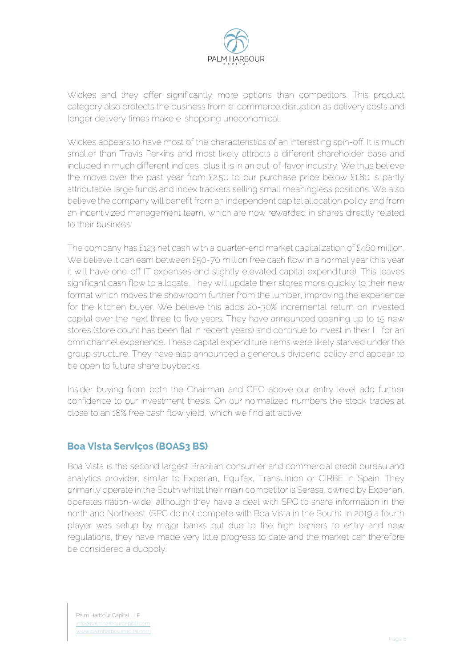

Wickes and they offer significantly more options than competitors. This product category also protects the business from e-commerce disruption as delivery costs and longer delivery times make e-shopping uneconomical.

Wickes appears to have most of the characteristics of an interesting spin-off. It is much smaller than Travis Perkins and most likely attracts a different shareholder base and included in much different indices, plus it is in an out-of-favor industry. We thus believe the move over the past year from £2.50 to our purchase price below £1.80 is partly attributable large funds and index trackers selling small meaningless positions. We also believe the company will benefit from an independent capital allocation policy and from an incentivized management team, which are now rewarded in shares directly related to their business.

The company has £123 net cash with a quarter-end market capitalization of £460 million. We believe it can earn between £50-70 million free cash flow in a normal year (this year it will have one-off IT expenses and slightly elevated capital expenditure). This leaves significant cash flow to allocate. They will update their stores more quickly to their new format which moves the showroom further from the lumber, improving the experience for the kitchen buyer. We believe this adds 20-30% incremental return on invested capital over the next three to five years. They have announced opening up to 15 new stores (store count has been flat in recent years) and continue to invest in their IT for an omnichannel experience. These capital expenditure items were likely starved under the group structure. They have also announced a generous dividend policy and appear to be open to future share buybacks.

Insider buying from both the Chairman and CEO above our entry level add further confidence to our investment thesis. On our normalized numbers the stock trades at close to an 18% free cash flow yield, which we find attractive.

# **Boa Vista Servicos (BOAS3 BS)**

Boa Vista is the second largest Brazilian consumer and commercial credit bureau and analytics provider, similar to Experian, Equifax, TransUnion or CIRBE in Spain. They primarily operate in the South whilst their main competitor is Serasa, owned by Experian, operates nation-wide, although they have a deal with SPC to share information in the north and Northeast. (SPC do not compete with Boa Vista in the South). In 2019 a fourth player was setup by major banks but due to the high barriers to entry and new regulations, they have made very little progress to date and the market can therefore be considered a duopoly.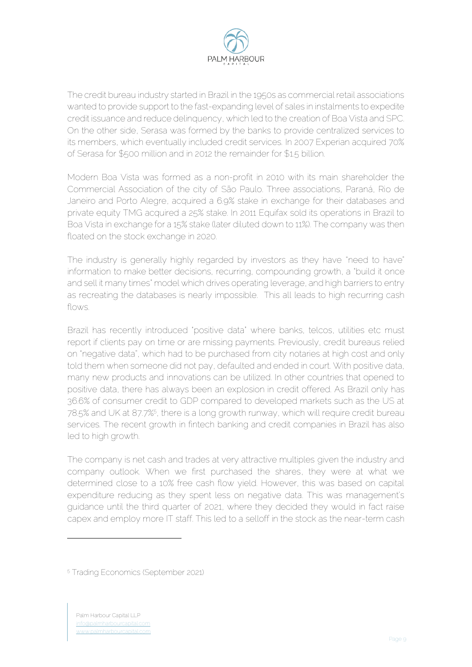

The credit bureau industry started in Brazil in the 1950s as commercial retail associations wanted to provide support to the fast-expanding level of sales in instalments to expedite credit issuance and reduce delinquency, which led to the creation of Boa Vista and SPC. On the other side, Serasa was formed by the banks to provide centralized services to its members, which eventually included credit services. In 2007 Experian acquired 70% of Serasa for \$500 million and in 2012 the remainder for \$1.5 billion.

Modern Boa Vista was formed as a non-profit in 2010 with its main shareholder the Commercial Association of the city of São Paulo. Three associations, Paraná, Rio de Janeiro and Porto Alegre, acquired a 6.9% stake in exchange for their databases and private equity TMG acquired a 25% stake. In 2011 Equifax sold its operations in Brazil to Boa Vista in exchange for a 15% stake (later diluted down to 11%). The company was then floated on the stock exchange in 2020.

The industry is generally highly regarded by investors as they have "need to have" information to make better decisions, recurring, compounding growth, a "build it once and sell it many times" model which drives operating leverage, and high barriers to entry as recreating the databases is nearly impossible. This all leads to high recurring cash flows.

Brazil has recently introduced "positive data" where banks, telcos, utilities etc must report if clients pay on time or are missing payments. Previously, credit bureaus relied on "negative data", which had to be purchased from city notaries at high cost and only told them when someone did not pay, defaulted and ended in court. With positive data, many new products and innovations can be utilized. In other countries that opened to positive data, there has always been an explosion in credit offered. As Brazil only has 36.6% of consumer credit to GDP compared to developed markets such as the US at 78.5% and UK at 87.7%5, there is a long growth runway, which will require credit bureau services. The recent growth in fintech banking and credit companies in Brazil has also led to high growth.

The company is net cash and trades at very attractive multiples given the industry and company outlook. When we first purchased the shares, they were at what we determined close to a 10% free cash flow yield. However, this was based on capital expenditure reducing as they spent less on negative data. This was management's guidance until the third quarter of 2021, where they decided they would in fact raise capex and employ more IT staff. This led to a selloff in the stock as the near-term cash

<sup>5</sup> Trading Economics (September 2021)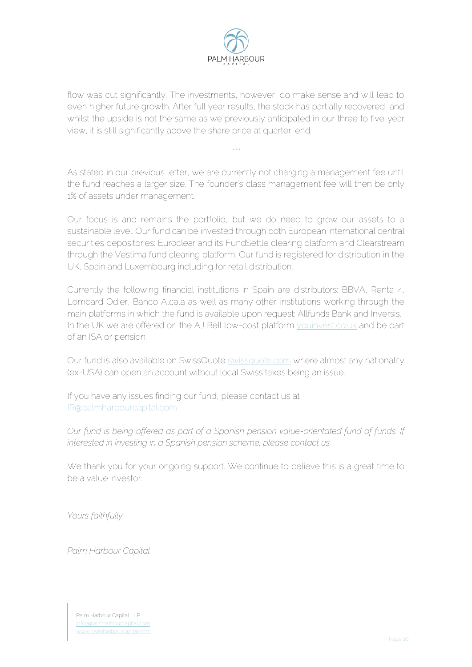

flow was cut significantly. The investments, however, do make sense and will lead to even higher future growth. After full year results, the stock has partially recovered and whilst the upside is not the same as we previously anticipated in our three to five year view, it is still significantly above the share price at quarter-end.

*\*\*\**

As stated in our previous letter, we are currently not charging a management fee until the fund reaches a larger size. The founder's class management fee will then be only 1% of assets under management.

Our focus is and remains the portfolio, but we do need to grow our assets to a sustainable level. Our fund can be invested through both European international central securities depositories: Euroclear and its FundSettle clearing platform and Clearstream through the Vestima fund clearing platform. Our fund is registered for distribution in the UK, Spain and Luxembourg including for retail distribution.

Currently the following financial institutions in Spain are distributors: BBVA, Renta 4, Lombard Odier, Banco Alcala as well as many other institutions working through the main platforms in which the fund is available upon request: Allfunds Bank and Inversis. In the UK we are offered on the AJ Bell low-cost platform [youinvest.co.uk](about:blank) and be part of an ISA or pension.

Our fund is also available on SwissQuote [swissquote.com](about:blank) where almost any nationality (ex-USA) can open an account without local Swiss taxes being an issue.

If you have any issues finding our fund, please contact us at [IR@palmharbourcapital.com](about:blank)

*Our fund is being offered as part of a Spanish pension value-orientated fund of funds. If interested in investing in a Spanish pension scheme, please contact us.* 

We thank you for your ongoing support. We continue to believe this is a great time to be a value investor.

*Yours faithfully,*

*Palm Harbour Capital*